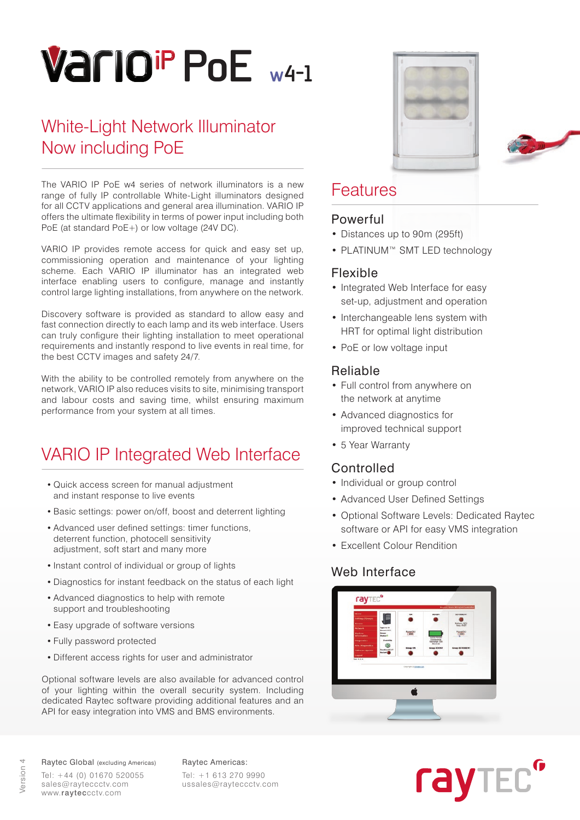# **PoE w4-1**

# White-Light Network Illuminator Now including PoE

The VARIO IP PoE w4 series of network illuminators is a new range of fully IP controllable White-Light illuminators designed for all CCTV applications and general area illumination. VARIO IP offers the ultimate flexibility in terms of power input including both PoE (at standard PoE+) or low voltage (24V DC).

VARIO IP provides remote access for quick and easy set up, commissioning operation and maintenance of your lighting scheme. Each VARIO IP illuminator has an integrated web interface enabling users to configure, manage and instantly control large lighting installations, from anywhere on the network.

Discovery software is provided as standard to allow easy and fast connection directly to each lamp and its web interface. Users can truly configure their lighting installation to meet operational requirements and instantly respond to live events in real time, for the best CCTV images and safety 24/7.

With the ability to be controlled remotely from anywhere on the network, VARIO IP also reduces visits to site, minimising transport and labour costs and saving time, whilst ensuring maximum performance from your system at all times.

# VARIO IP Integrated Web Interface

- Quick access screen for manual adjustment and instant response to live events
- Basic settings: power on/off, boost and deterrent lighting
- Advanced user defined settings: timer functions, deterrent function, photocell sensitivity adjustment, soft start and many more
- Instant control of individual or group of lights
- Diagnostics for instant feedback on the status of each light
- Advanced diagnostics to help with remote support and troubleshooting
- Easy upgrade of software versions
- Fully password protected
- Different access rights for user and administrator

Optional software levels are also available for advanced control of your lighting within the overall security system. Including dedicated Raytec software providing additional features and an API for easy integration into VMS and BMS environments.





## Features

## Powerful

- Distances up to 90m (295ft)
- PLATINUM™ SMT LED technology

## Flexible

- Integrated Web Interface for easy set-up, adjustment and operation
- Interchangeable lens system with HRT for optimal light distribution
- PoE or low voltage input

## Reliable

- Full control from anywhere on the network at anytime
- Advanced diagnostics for improved technical support
- 5 Year Warranty

## Controlled

- Individual or group control
- Advanced User Defined Settings
- Optional Software Levels: Dedicated Raytec software or API for easy VMS integration
- Excellent Colour Rendition

## Web Interface





Raytec Global (excluding Americas) Raytec Americas: Tel: +44 (0) 01670 520055 sales@rayteccctv.com www.rayteccctv.com

Tel: +1 613 270 9990 ussales@rayteccctv.com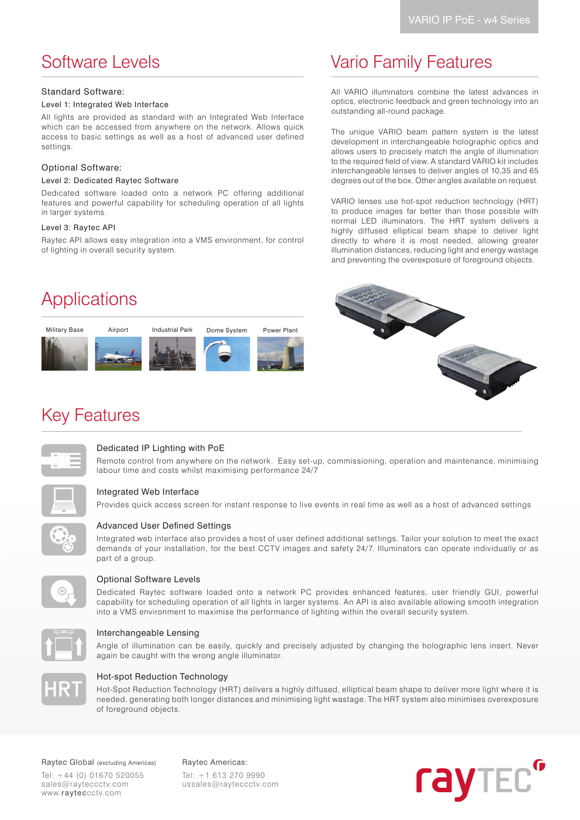## Software Levels

#### Standard Software:

#### Level 1: Integrated Web Interface

All lights are provided as standard with an Integrated Web Interface which can be accessed from anywhere on the network. Allows quick access to basic settings as well as a host of advanced user defined settings.

#### Optional Software:

#### Level 2: Dedicated Raytec Software

Dedicated software loaded onto a network PC offering additional features and powerful capability for scheduling operation of all lights in larger systems.

#### Level 3: Raytec API

Raytec API allows easy integration into a VMS environment, for control of lighting in overall security system.

# Applications



# Vario Family Features

All VARIO illuminators combine the latest advances in optics, electronic feedback and green technology into an outstanding all-round package.

The unique VARIO beam pattern system is the latest development in interchangeable holographic optics and allows users to precisely match the angle of illumination to the required field of view. A standard VARIO kit includes interchangeable lenses to deliver angles of 10,35 and 65 degrees out of the box. Other angles available on request.

VARIO lenses use hot-spot reduction technology (HRT) to produce images far better than those possible with normal LED illuminators. The HRT system delivers a highly diffused elliptical beam shape to deliver light directly to where it is most needed, allowing greater illumination distances, reducing light and energy wastage and preventing the overexposure of foreground objects.



## Key Features



#### Dedicated IP Lighting with PoE

Remote control from anywhere on the network. Easy set-up, commissioning, operation and maintenance, minimising labour time and costs whilst maximising performance 24/7



#### Integrated Web Interface

Provides quick access screen for instant response to live events in real time as well as a host of advanced settings



#### Advanced User Defined Settings

Integrated web interface also provides a host of user defined additional settings. Tailor your solution to meet the exact demands of your installation, for the best CCTV images and safety 24/7. Illuminators can operate individually or as part of a group.



#### Optional Software Levels

Dedicated Raytec software loaded onto a network PC provides enhanced features, user friendly GUI, powerful capability for scheduling operation of all lights in larger systems. An API is also available allowing smooth integration into a VMS environment to maximise the performance of lighting within the overall security system.



#### Interchangeable Lensing

Angle of illumination can be easily, quickly and precisely adjusted by changing the holographic lens insert. Never again be caught with the wrong angle illuminator.



#### Hot-spot Reduction Technology

Hot-Spot Reduction Technology (HRT) delivers a highly diffused, elliptical beam shape to deliver more light where it is needed, generating both longer distances and minimising light wastage. The HRT system also minimises overexposure of foreground objects.

Raytec Global (excluding Americas) Raytec Americas:

Tel: +44 (0) 01670 520055 sales@rayteccctv.com www.rayteccctv.com

Tel: +1 613 270 9990 ussales@rayteccctv.com